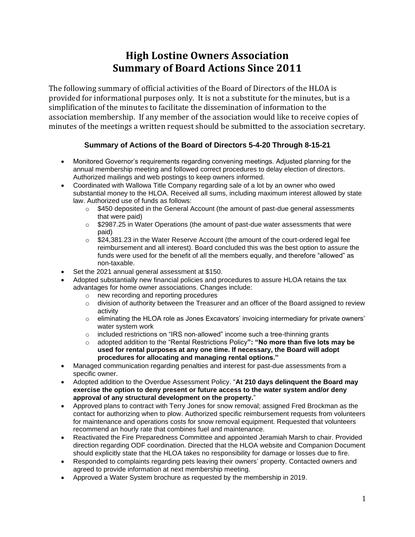# **High Lostine Owners Association Summary of Board Actions Since 2011**

The following summary of official activities of the Board of Directors of the HLOA is provided for informational purposes only. It is not a substitute for the minutes, but is a simplification of the minutes to facilitate the dissemination of information to the association membership. If any member of the association would like to receive copies of minutes of the meetings a written request should be submitted to the association secretary.

# **Summary of Actions of the Board of Directors 5-4-20 Through 8-15-21**

- Monitored Governor's requirements regarding convening meetings. Adjusted planning for the annual membership meeting and followed correct procedures to delay election of directors. Authorized mailings and web postings to keep owners informed.
- Coordinated with Wallowa Title Company regarding sale of a lot by an owner who owed substantial money to the HLOA. Received all sums, including maximum interest allowed by state law. Authorized use of funds as follows:
	- o \$450 deposited in the General Account (the amount of past-due general assessments that were paid)
	- $\circ$  \$2987.25 in Water Operations (the amount of past-due water assessments that were paid)
	- $\circ$  \$24,381.23 in the Water Reserve Account (the amount of the court-ordered legal fee reimbursement and all interest). Board concluded this was the best option to assure the funds were used for the benefit of all the members equally, and therefore "allowed" as non-taxable.
- Set the 2021 annual general assessment at \$150.
- Adopted substantially new financial policies and procedures to assure HLOA retains the tax advantages for home owner associations. Changes include:
	- o new recording and reporting procedures
	- $\circ$  division of authority between the Treasurer and an officer of the Board assigned to review activity
	- $\circ$  eliminating the HLOA role as Jones Excavators' invoicing intermediary for private owners' water system work
	- o included restrictions on "IRS non-allowed" income such a tree-thinning grants
	- o adopted addition to the "Rental Restrictions Policy**": "No more than five lots may be used for rental purposes at any one time. If necessary, the Board will adopt procedures for allocating and managing rental options."**
- Managed communication regarding penalties and interest for past-due assessments from a specific owner.
- Adopted addition to the Overdue Assessment Policy. "**At 210 days delinquent the Board may exercise the option to deny present or future access to the water system and/or deny approval of any structural development on the property.**"
- Approved plans to contract with Terry Jones for snow removal; assigned Fred Brockman as the contact for authorizing when to plow. Authorized specific reimbursement requests from volunteers for maintenance and operations costs for snow removal equipment. Requested that volunteers recommend an hourly rate that combines fuel and maintenance.
- Reactivated the Fire Preparedness Committee and appointed Jeramiah Marsh to chair. Provided direction regarding ODF coordination. Directed that the HLOA website and Companion Document should explicitly state that the HLOA takes no responsibility for damage or losses due to fire.
- Responded to complaints regarding pets leaving their owners' property. Contacted owners and agreed to provide information at next membership meeting.
- Approved a Water System brochure as requested by the membership in 2019.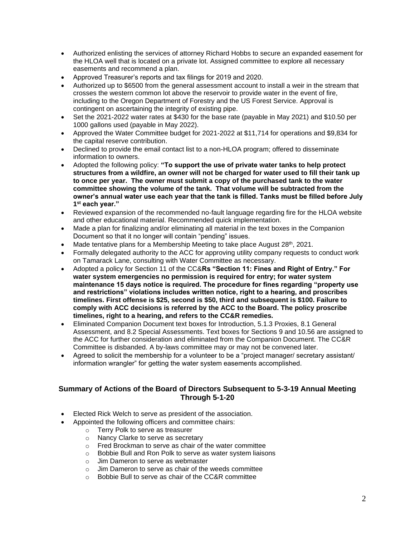- Authorized enlisting the services of attorney Richard Hobbs to secure an expanded easement for the HLOA well that is located on a private lot. Assigned committee to explore all necessary easements and recommend a plan.
- Approved Treasurer's reports and tax filings for 2019 and 2020.
- Authorized up to \$6500 from the general assessment account to install a weir in the stream that crosses the western common lot above the reservoir to provide water in the event of fire, including to the Oregon Department of Forestry and the US Forest Service. Approval is contingent on ascertaining the integrity of existing pipe.
- Set the 2021-2022 water rates at \$430 for the base rate (payable in May 2021) and \$10.50 per 1000 gallons used (payable in May 2022).
- Approved the Water Committee budget for 2021-2022 at \$11,714 for operations and \$9,834 for the capital reserve contribution.
- Declined to provide the email contact list to a non-HLOA program; offered to disseminate information to owners.
- Adopted the following policy: **"To support the use of private water tanks to help protect structures from a wildfire, an owner will not be charged for water used to fill their tank up to once per year. The owner must submit a copy of the purchased tank to the water committee showing the volume of the tank. That volume will be subtracted from the owner's annual water use each year that the tank is filled. Tanks must be filled before July 1 st each year."**
- Reviewed expansion of the recommended no-fault language regarding fire for the HLOA website and other educational material. Recommended quick implementation.
- Made a plan for finalizing and/or eliminating all material in the text boxes in the Companion Document so that it no longer will contain "pending" issues.
- Made tentative plans for a Membership Meeting to take place August 28th, 2021.
- Formally delegated authority to the ACC for approving utility company requests to conduct work on Tamarack Lane, consulting with Water Committee as necessary.
- Adopted a policy for Section 11 of the CC&**Rs "Section 11: Fines and Right of Entry." For water system emergencies no permission is required for entry; for water system maintenance 15 days notice is required. The procedure for fines regarding "property use and restrictions" violations includes written notice, right to a hearing, and proscribes timelines. First offense is \$25, second is \$50, third and subsequent is \$100. Failure to comply with ACC decisions is referred by the ACC to the Board. The policy proscribe timelines, right to a hearing, and refers to the CC&R remedies.**
- Eliminated Companion Document text boxes for Introduction, 5.1.3 Proxies, 8.1 General Assessment, and 8.2 Special Assessments. Text boxes for Sections 9 and 10.56 are assigned to the ACC for further consideration and eliminated from the Companion Document. The CC&R Committee is disbanded. A by-laws committee may or may not be convened later.
- Agreed to solicit the membership for a volunteer to be a "project manager/ secretary assistant/ information wrangler" for getting the water system easements accomplished.

## **Summary of Actions of the Board of Directors Subsequent to 5-3-19 Annual Meeting Through 5-1-20**

- Elected Rick Welch to serve as president of the association.
	- Appointed the following officers and committee chairs:
		- o Terry Polk to serve as treasurer
		- o Nancy Clarke to serve as secretary
		- o Fred Brockman to serve as chair of the water committee
		- o Bobbie Bull and Ron Polk to serve as water system liaisons
		- o Jim Dameron to serve as webmaster
		- o Jim Dameron to serve as chair of the weeds committee
		- $\circ$  Bobbie Bull to serve as chair of the CC&R committee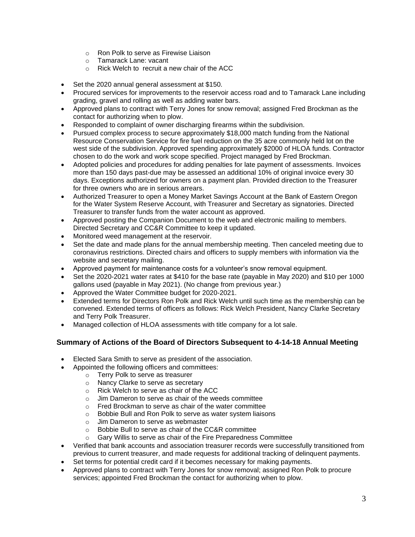- o Ron Polk to serve as Firewise Liaison
- o Tamarack Lane: vacant
- o Rick Welch to recruit a new chair of the ACC
- Set the 2020 annual general assessment at \$150.
- Procured services for improvements to the reservoir access road and to Tamarack Lane including grading, gravel and rolling as well as adding water bars.
- Approved plans to contract with Terry Jones for snow removal; assigned Fred Brockman as the contact for authorizing when to plow.
- Responded to complaint of owner discharging firearms within the subdivision.
- Pursued complex process to secure approximately \$18,000 match funding from the National Resource Conservation Service for fire fuel reduction on the 35 acre commonly held lot on the west side of the subdivision. Approved spending approximately \$2000 of HLOA funds. Contractor chosen to do the work and work scope specified. Project managed by Fred Brockman.
- Adopted policies and procedures for adding penalties for late payment of assessments. Invoices more than 150 days past-due may be assessed an additional 10% of original invoice every 30 days. Exceptions authorized for owners on a payment plan. Provided direction to the Treasurer for three owners who are in serious arrears.
- Authorized Treasurer to open a Money Market Savings Account at the Bank of Eastern Oregon for the Water System Reserve Account, with Treasurer and Secretary as signatories. Directed Treasurer to transfer funds from the water account as approved.
- Approved posting the Companion Document to the web and electronic mailing to members. Directed Secretary and CC&R Committee to keep it updated.
- Monitored weed management at the reservoir.
- Set the date and made plans for the annual membership meeting. Then canceled meeting due to coronavirus restrictions. Directed chairs and officers to supply members with information via the website and secretary mailing.
- Approved payment for maintenance costs for a volunteer's snow removal equipment.
- Set the 2020-2021 water rates at \$410 for the base rate (payable in May 2020) and \$10 per 1000 gallons used (payable in May 2021). (No change from previous year.)
- Approved the Water Committee budget for 2020-2021.
- Extended terms for Directors Ron Polk and Rick Welch until such time as the membership can be convened. Extended terms of officers as follows: Rick Welch President, Nancy Clarke Secretary and Terry Polk Treasurer.
- Managed collection of HLOA assessments with title company for a lot sale.

# **Summary of Actions of the Board of Directors Subsequent to 4-14-18 Annual Meeting**

- Elected Sara Smith to serve as president of the association.
	- Appointed the following officers and committees:
		- o Terry Polk to serve as treasurer
			- o Nancy Clarke to serve as secretary
			- o Rick Welch to serve as chair of the ACC
			- o Jim Dameron to serve as chair of the weeds committee
			- o Fred Brockman to serve as chair of the water committee
			- o Bobbie Bull and Ron Polk to serve as water system liaisons
			- o Jim Dameron to serve as webmaster
			- o Bobbie Bull to serve as chair of the CC&R committee
			- o Gary Willis to serve as chair of the Fire Preparedness Committee
- Verified that bank accounts and association treasurer records were successfully transitioned from previous to current treasurer, and made requests for additional tracking of delinquent payments.
- Set terms for potential credit card if it becomes necessary for making payments.
- Approved plans to contract with Terry Jones for snow removal; assigned Ron Polk to procure services; appointed Fred Brockman the contact for authorizing when to plow.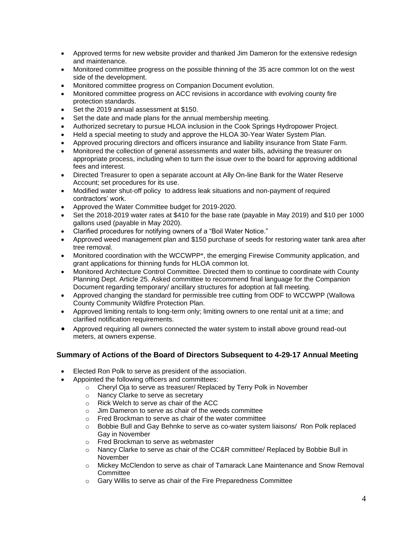- Approved terms for new website provider and thanked Jim Dameron for the extensive redesign and maintenance.
- Monitored committee progress on the possible thinning of the 35 acre common lot on the west side of the development.
- Monitored committee progress on Companion Document evolution.
- Monitored committee progress on ACC revisions in accordance with evolving county fire protection standards.
- Set the 2019 annual assessment at \$150.
- Set the date and made plans for the annual membership meeting.
- Authorized secretary to pursue HLOA inclusion in the Cook Springs Hydropower Project.
- Held a special meeting to study and approve the HLOA 30-Year Water System Plan.
- Approved procuring directors and officers insurance and liability insurance from State Farm.
- Monitored the collection of general assessments and water bills, advising the treasurer on appropriate process, including when to turn the issue over to the board for approving additional fees and interest.
- Directed Treasurer to open a separate account at Ally On-line Bank for the Water Reserve Account; set procedures for its use.
- Modified water shut-off policy to address leak situations and non-payment of required contractors' work.
- Approved the Water Committee budget for 2019-2020.
- Set the 2018-2019 water rates at \$410 for the base rate (payable in May 2019) and \$10 per 1000 gallons used (payable in May 2020).
- Clarified procedures for notifying owners of a "Boil Water Notice."
- Approved weed management plan and \$150 purchase of seeds for restoring water tank area after tree removal.
- Monitored coordination with the WCCWPP\*, the emerging Firewise Community application, and grant applications for thinning funds for HLOA common lot.
- Monitored Architecture Control Committee. Directed them to continue to coordinate with County Planning Dept. Article 25. Asked committee to recommend final language for the Companion Document regarding temporary/ ancillary structures for adoption at fall meeting.
- Approved changing the standard for permissible tree cutting from ODF to WCCWPP (Wallowa County Community Wildfire Protection Plan.
- Approved limiting rentals to long-term only; limiting owners to one rental unit at a time; and clarified notification requirements.
- Approved requiring all owners connected the water system to install above ground read-out meters, at owners expense.

# **Summary of Actions of the Board of Directors Subsequent to 4-29-17 Annual Meeting**

- Elected Ron Polk to serve as president of the association.
- Appointed the following officers and committees:
	- o Cheryl Oja to serve as treasurer/ Replaced by Terry Polk in November
	- o Nancy Clarke to serve as secretary
	- o Rick Welch to serve as chair of the ACC
	- o Jim Dameron to serve as chair of the weeds committee
	- o Fred Brockman to serve as chair of the water committee
	- o Bobbie Bull and Gay Behnke to serve as co-water system liaisons/ Ron Polk replaced Gay in November
	-
	- o Fred Brockman to serve as webmaster<br>
	o Nancy Clarke to serve as chair of the C Nancy Clarke to serve as chair of the CC&R committee/ Replaced by Bobbie Bull in November
	- o Mickey McClendon to serve as chair of Tamarack Lane Maintenance and Snow Removal **Committee**
	- o Gary Willis to serve as chair of the Fire Preparedness Committee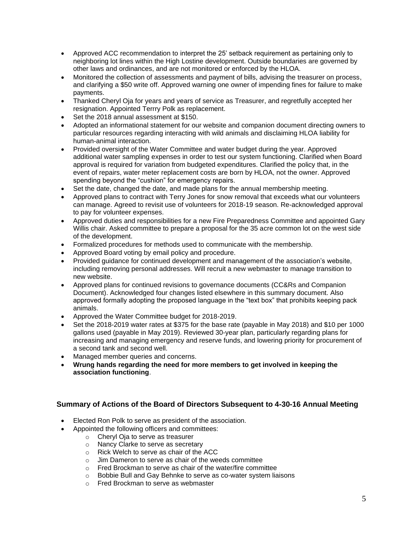- Approved ACC recommendation to interpret the 25' setback requirement as pertaining only to neighboring lot lines within the High Lostine development. Outside boundaries are governed by other laws and ordinances, and are not monitored or enforced by the HLOA.
- Monitored the collection of assessments and payment of bills, advising the treasurer on process, and clarifying a \$50 write off. Approved warning one owner of impending fines for failure to make payments.
- Thanked Cheryl Oja for years and years of service as Treasurer, and regretfully accepted her resignation. Appointed Terrry Polk as replacement.
- Set the 2018 annual assessment at \$150.
- Adopted an informational statement for our website and companion document directing owners to particular resources regarding interacting with wild animals and disclaiming HLOA liability for human-animal interaction.
- Provided oversight of the Water Committee and water budget during the year. Approved additional water sampling expenses in order to test our system functioning. Clarified when Board approval is required for variation from budgeted expenditures. Clarified the policy that, in the event of repairs, water meter replacement costs are born by HLOA, not the owner. Approved spending beyond the "cushion" for emergency repairs.
- Set the date, changed the date, and made plans for the annual membership meeting.
- Approved plans to contract with Terry Jones for snow removal that exceeds what our volunteers can manage. Agreed to revisit use of volunteers for 2018-19 season. Re-acknowledged approval to pay for volunteer expenses.
- Approved duties and responsibilities for a new Fire Preparedness Committee and appointed Gary Willis chair. Asked committee to prepare a proposal for the 35 acre common lot on the west side of the development.
- Formalized procedures for methods used to communicate with the membership.
- Approved Board voting by email policy and procedure.
- Provided guidance for continued development and management of the association's website, including removing personal addresses. Will recruit a new webmaster to manage transition to new website.
- Approved plans for continued revisions to governance documents (CC&Rs and Companion Document). Acknowledged four changes listed elsewhere in this summary document. Also approved formally adopting the proposed language in the "text box" that prohibits keeping pack animals.
- Approved the Water Committee budget for 2018-2019.
- Set the 2018-2019 water rates at \$375 for the base rate (payable in May 2018) and \$10 per 1000 gallons used (payable in May 2019). Reviewed 30-year plan, particularly regarding plans for increasing and managing emergency and reserve funds, and lowering priority for procurement of a second tank and second well.
- Managed member queries and concerns.
- **Wrung hands regarding the need for more members to get involved in keeping the association functioning**.

#### **Summary of Actions of the Board of Directors Subsequent to 4-30-16 Annual Meeting**

- Elected Ron Polk to serve as president of the association.
- Appointed the following officers and committees:
	- o Cheryl Oja to serve as treasurer
	- o Nancy Clarke to serve as secretary
	- o Rick Welch to serve as chair of the ACC
	- o Jim Dameron to serve as chair of the weeds committee
	- o Fred Brockman to serve as chair of the water/fire committee
	- o Bobbie Bull and Gay Behnke to serve as co-water system liaisons
	- o Fred Brockman to serve as webmaster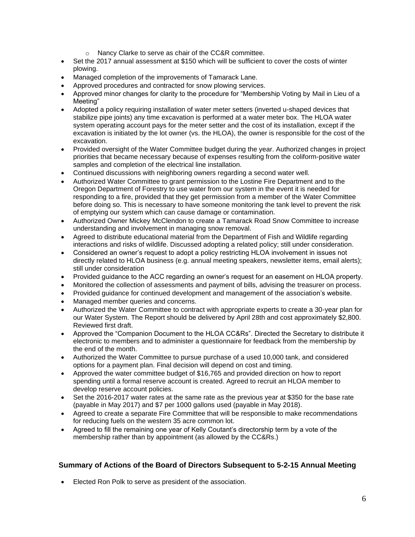- o Nancy Clarke to serve as chair of the CC&R committee.
- Set the 2017 annual assessment at \$150 which will be sufficient to cover the costs of winter plowing.
- Managed completion of the improvements of Tamarack Lane.
- Approved procedures and contracted for snow plowing services.
- Approved minor changes for clarity to the procedure for "Membership Voting by Mail in Lieu of a Meeting"
- Adopted a policy requiring installation of water meter setters (inverted u-shaped devices that stabilize pipe joints) any time excavation is performed at a water meter box. The HLOA water system operating account pays for the meter setter and the cost of its installation, except if the excavation is initiated by the lot owner (vs. the HLOA), the owner is responsible for the cost of the excavation.
- Provided oversight of the Water Committee budget during the year. Authorized changes in project priorities that became necessary because of expenses resulting from the coliform-positive water samples and completion of the electrical line installation.
- Continued discussions with neighboring owners regarding a second water well.
- Authorized Water Committee to grant permission to the Lostine Fire Department and to the Oregon Department of Forestry to use water from our system in the event it is needed for responding to a fire, provided that they get permission from a member of the Water Committee before doing so. This is necessary to have someone monitoring the tank level to prevent the risk of emptying our system which can cause damage or contamination.
- Authorized Owner Mickey McClendon to create a Tamarack Road Snow Committee to increase understanding and involvement in managing snow removal.
- Agreed to distribute educational material from the Department of Fish and Wildlife regarding interactions and risks of wildlife. Discussed adopting a related policy; still under consideration.
- Considered an owner's request to adopt a policy restricting HLOA involvement in issues not directly related to HLOA business (e.g. annual meeting speakers, newsletter items, email alerts); still under consideration
- Provided guidance to the ACC regarding an owner's request for an easement on HLOA property.
- Monitored the collection of assessments and payment of bills, advising the treasurer on process.
- Provided guidance for continued development and management of the association's website.
- Managed member queries and concerns.
- Authorized the Water Committee to contract with appropriate experts to create a 30-year plan for our Water System. The Report should be delivered by April 28th and cost approximately \$2,800. Reviewed first draft.
- Approved the "Companion Document to the HLOA CC&Rs". Directed the Secretary to distribute it electronic to members and to administer a questionnaire for feedback from the membership by the end of the month.
- Authorized the Water Committee to pursue purchase of a used 10,000 tank, and considered options for a payment plan. Final decision will depend on cost and timing.
- Approved the water committee budget of \$16,765 and provided direction on how to report spending until a formal reserve account is created. Agreed to recruit an HLOA member to develop reserve account policies.
- Set the 2016-2017 water rates at the same rate as the previous vear at \$350 for the base rate (payable in May 2017) and \$7 per 1000 gallons used (payable in May 2018).
- Agreed to create a separate Fire Committee that will be responsible to make recommendations for reducing fuels on the western 35 acre common lot.
- Agreed to fill the remaining one year of Kelly Coutant's directorship term by a vote of the membership rather than by appointment (as allowed by the CC&Rs.)

## **Summary of Actions of the Board of Directors Subsequent to 5-2-15 Annual Meeting**

• Elected Ron Polk to serve as president of the association.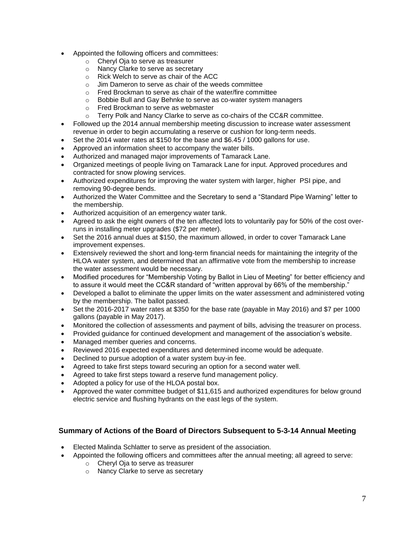- Appointed the following officers and committees:
	- o Cheryl Oja to serve as treasurer
	- o Nancy Clarke to serve as secretary
	- o Rick Welch to serve as chair of the ACC
	- o Jim Dameron to serve as chair of the weeds committee
	- o Fred Brockman to serve as chair of the water/fire committee
	- o Bobbie Bull and Gay Behnke to serve as co-water system managers
	- o Fred Brockman to serve as webmaster
	- o Terry Polk and Nancy Clarke to serve as co-chairs of the CC&R committee.
- Followed up the 2014 annual membership meeting discussion to increase water assessment revenue in order to begin accumulating a reserve or cushion for long-term needs.
- Set the 2014 water rates at \$150 for the base and \$6.45 / 1000 gallons for use.
- Approved an information sheet to accompany the water bills.
- Authorized and managed major improvements of Tamarack Lane.
- Organized meetings of people living on Tamarack Lane for input. Approved procedures and contracted for snow plowing services.
- Authorized expenditures for improving the water system with larger, higher PSI pipe, and removing 90-degree bends.
- Authorized the Water Committee and the Secretary to send a "Standard Pipe Warning" letter to the membership.
- Authorized acquisition of an emergency water tank.
- Agreed to ask the eight owners of the ten affected lots to voluntarily pay for 50% of the cost overruns in installing meter upgrades (\$72 per meter).
- Set the 2016 annual dues at \$150, the maximum allowed, in order to cover Tamarack Lane improvement expenses.
- Extensively reviewed the short and long-term financial needs for maintaining the integrity of the HLOA water system, and determined that an affirmative vote from the membership to increase the water assessment would be necessary.
- Modified procedures for "Membership Voting by Ballot in Lieu of Meeting" for better efficiency and to assure it would meet the CC&R standard of "written approval by 66% of the membership."
- Developed a ballot to eliminate the upper limits on the water assessment and administered voting by the membership. The ballot passed.
- Set the 2016-2017 water rates at \$350 for the base rate (payable in May 2016) and \$7 per 1000 gallons (payable in May 2017).
- Monitored the collection of assessments and payment of bills, advising the treasurer on process.
- Provided guidance for continued development and management of the association's website.
- Managed member queries and concerns.
- Reviewed 2016 expected expenditures and determined income would be adequate.
- Declined to pursue adoption of a water system buy-in fee.
- Agreed to take first steps toward securing an option for a second water well.
- Agreed to take first steps toward a reserve fund management policy.
- Adopted a policy for use of the HLOA postal box.
- Approved the water committee budget of \$11,615 and authorized expenditures for below ground electric service and flushing hydrants on the east legs of the system.

## **Summary of Actions of the Board of Directors Subsequent to 5-3-14 Annual Meeting**

- Elected Malinda Schlatter to serve as president of the association.
	- Appointed the following officers and committees after the annual meeting; all agreed to serve:
		- o Cheryl Oja to serve as treasurer
		- o Nancy Clarke to serve as secretary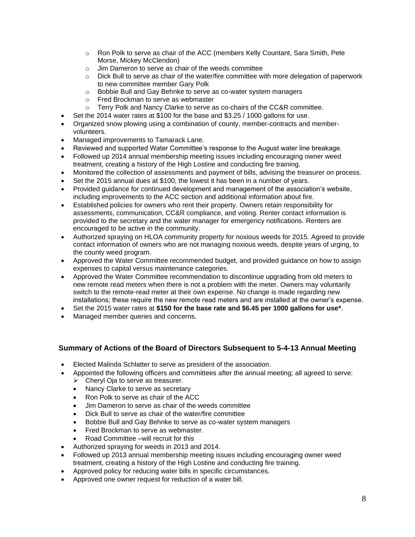- o Ron Polk to serve as chair of the ACC (members Kelly Countant, Sara Smith, Pete Morse, Mickey McClendon)
- o Jim Dameron to serve as chair of the weeds committee
- $\circ$  Dick Bull to serve as chair of the water/fire committee with more delegation of paperwork to new committee member Gary Polk
- o Bobbie Bull and Gay Behnke to serve as co-water system managers
- o Fred Brockman to serve as webmaster
- $\circ$  Terry Polk and Nancy Clarke to serve as co-chairs of the CC&R committee.
- Set the 2014 water rates at \$100 for the base and \$3.25 / 1000 gallons for use.
- Organized snow plowing using a combination of county, member-contracts and membervolunteers.
- Managed improvements to Tamarack Lane.
- Reviewed and supported Water Committee's response to the August water line breakage.
- Followed up 2014 annual membership meeting issues including encouraging owner weed treatment, creating a history of the High Lostine and conducting fire training.
- Monitored the collection of assessments and payment of bills, advising the treasurer on process.
- Set the 2015 annual dues at \$100, the lowest it has been in a number of years.
- Provided guidance for continued development and management of the association's website, including improvements to the ACC section and additional information about fire.
- Established policies for owners who rent their property. Owners retain responsibility for assessments, communication, CC&R compliance, and voting. Renter contact information is provided to the secretary and the water manager for emergency notifications. Renters are encouraged to be active in the community.
- Authorized spraying on HLOA community property for noxious weeds for 2015. Agreed to provide contact information of owners who are not managing noxious weeds, despite years of urging, to the county weed program.
- Approved the Water Committee recommended budget, and provided guidance on how to assign expenses to capital versus maintenance categories.
- Approved the Water Committee recommendation to discontinue upgrading from old meters to new remote read meters when there is not a problem with the meter. Owners may voluntarily switch to the remote-read meter at their own expense. No change is made regarding new installations; these require the new remote read meters and are installed at the owner's expense.
- Set the 2015 water rates at **\$150 for the base rate and \$6.45 per 1000 gallons for use\***.
- Managed member queries and concerns.

## **Summary of Actions of the Board of Directors Subsequent to 5-4-13 Annual Meeting**

- Elected Malinda Schlatter to serve as president of the association.
- Appointed the following officers and committees after the annual meeting; all agreed to serve:
	- ➢ Cheryl Oja to serve as treasurer.
	- Nancy Clarke to serve as secretary
	- Ron Polk to serve as chair of the ACC
	- Jim Dameron to serve as chair of the weeds committee
	- Dick Bull to serve as chair of the water/fire committee
	- Bobbie Bull and Gay Behnke to serve as co-water system managers
	- Fred Brockman to serve as webmaster.
	- Road Committee –will recruit for this
- Authorized spraying for weeds in 2013 and 2014.
- Followed up 2013 annual membership meeting issues including encouraging owner weed treatment, creating a history of the High Lostine and conducting fire training.
- Approved policy for reducing water bills in specific circumstances.
- Approved one owner request for reduction of a water bill.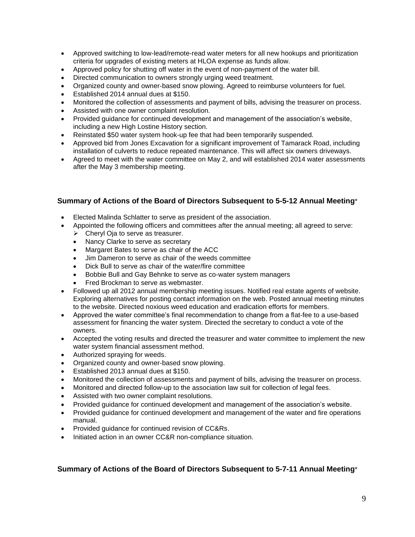- Approved switching to low-lead/remote-read water meters for all new hookups and prioritization criteria for upgrades of existing meters at HLOA expense as funds allow.
- Approved policy for shutting off water in the event of non-payment of the water bill.
- Directed communication to owners strongly urging weed treatment.
- Organized county and owner-based snow plowing. Agreed to reimburse volunteers for fuel.
- Established 2014 annual dues at \$150.
- Monitored the collection of assessments and payment of bills, advising the treasurer on process.
- Assisted with one owner complaint resolution.
- Provided guidance for continued development and management of the association's website, including a new High Lostine History section.
- Reinstated \$50 water system hook-up fee that had been temporarily suspended.
- Approved bid from Jones Excavation for a significant improvement of Tamarack Road, including installation of culverts to reduce repeated maintenance. This will affect six owners driveways.
- Agreed to meet with the water committee on May 2, and will established 2014 water assessments after the May 3 membership meeting.

#### **Summary of Actions of the Board of Directors Subsequent to 5-5-12 Annual Meeting**\*

- Elected Malinda Schlatter to serve as president of the association.
- Appointed the following officers and committees after the annual meeting; all agreed to serve:
	- ➢ Cheryl Oja to serve as treasurer.
	- Nancy Clarke to serve as secretary
	- Margaret Bates to serve as chair of the ACC
	- Jim Dameron to serve as chair of the weeds committee
	- Dick Bull to serve as chair of the water/fire committee
	- Bobbie Bull and Gay Behnke to serve as co-water system managers
	- Fred Brockman to serve as webmaster.
- Followed up all 2012 annual membership meeting issues. Notified real estate agents of website. Exploring alternatives for posting contact information on the web. Posted annual meeting minutes to the website. Directed noxious weed education and eradication efforts for members.
- Approved the water committee's final recommendation to change from a flat-fee to a use-based assessment for financing the water system. Directed the secretary to conduct a vote of the owners.
- Accepted the voting results and directed the treasurer and water committee to implement the new water system financial assessment method.
- Authorized spraying for weeds.
- Organized county and owner-based snow plowing.
- Established 2013 annual dues at \$150.
- Monitored the collection of assessments and payment of bills, advising the treasurer on process.
- Monitored and directed follow-up to the association law suit for collection of legal fees.
- Assisted with two owner complaint resolutions.
- Provided guidance for continued development and management of the association's website.
- Provided guidance for continued development and management of the water and fire operations manual.
- Provided guidance for continued revision of CC&Rs.
- Initiated action in an owner CC&R non-compliance situation.

#### **Summary of Actions of the Board of Directors Subsequent to 5-7-11 Annual Meeting**\*